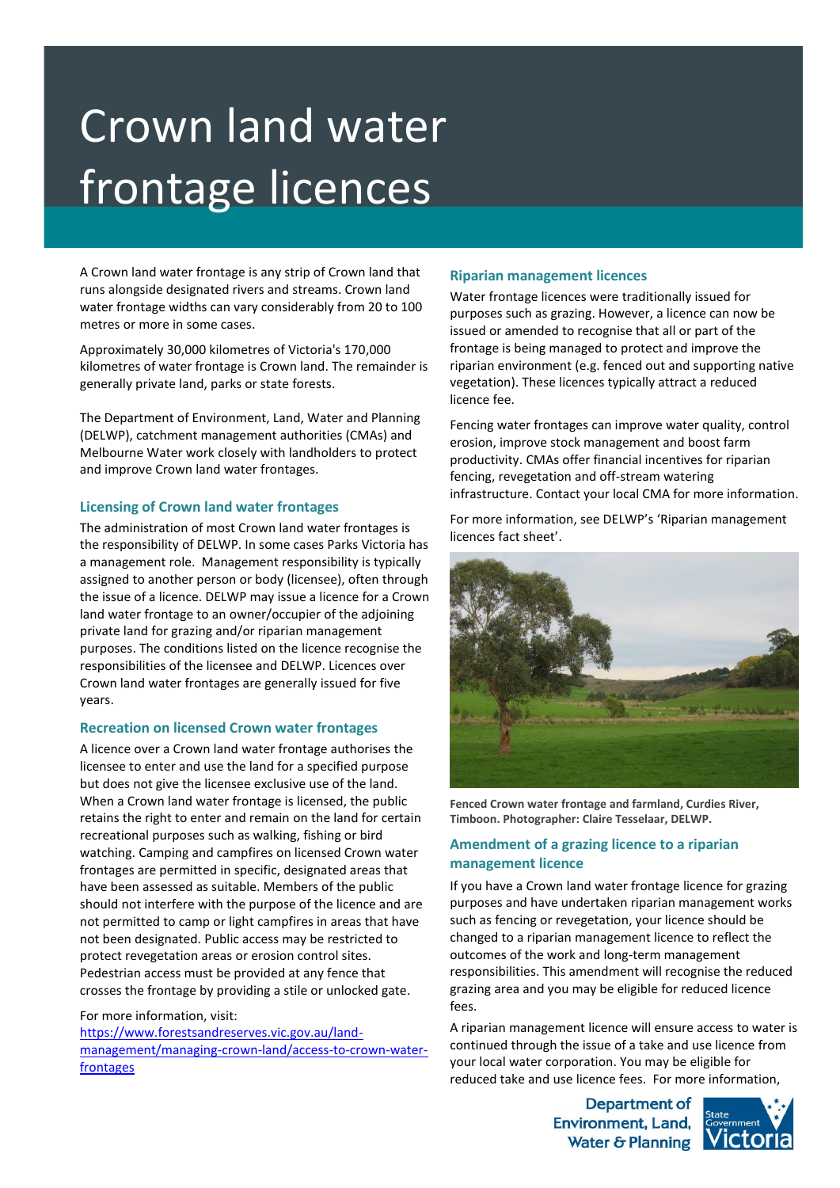# Crown land water frontage licences

A Crown land water frontage is any strip of Crown land that runs alongside designated rivers and streams. Crown land water frontage widths can vary considerably from 20 to 100 metres or more in some cases.

Approximately 30,000 kilometres of Victoria's 170,000 kilometres of water frontage is Crown land. The remainder is generally private land, parks or state forests.

The Department of Environment, Land, Water and Planning (DELWP), catchment management authorities (CMAs) and Melbourne Water work closely with landholders to protect and improve Crown land water frontages.

## **Licensing of Crown land water frontages**

The administration of most Crown land water frontages is the responsibility of DELWP. In some cases Parks Victoria has a management role. Management responsibility is typically assigned to another person or body (licensee), often through the issue of a licence. DELWP may issue a licence for a Crown land water frontage to an owner/occupier of the adjoining private land for grazing and/or riparian management purposes. The conditions listed on the licence recognise the responsibilities of the licensee and DELWP. Licences over Crown land water frontages are generally issued for five years.

## **Recreation on licensed Crown water frontages**

A licence over a Crown land water frontage authorises the licensee to enter and use the land for a specified purpose but does not give the licensee exclusive use of the land. When a Crown land water frontage is licensed, the public retains the right to enter and remain on the land for certain recreational purposes such as walking, fishing or bird watching. Camping and campfires on licensed Crown water frontages are permitted in specific, designated areas that have been assessed as suitable. Members of the public should not interfere with the purpose of the licence and are not permitted to camp or light campfires in areas that have not been designated. Public access may be restricted to protect revegetation areas or erosion control sites. Pedestrian access must be provided at any fence that crosses the frontage by providing a stile or unlocked gate.

For more information, visit: [https://www.forestsandreserves.vic.gov.au/land](https://www.forestsandreserves.vic.gov.au/land-management/managing-crown-land/access-to-crown-water-frontages)[management/managing-crown-land/access-to-crown-water](https://www.forestsandreserves.vic.gov.au/land-management/managing-crown-land/access-to-crown-water-frontages)[frontages](https://www.forestsandreserves.vic.gov.au/land-management/managing-crown-land/access-to-crown-water-frontages)

## **Riparian management licences**

Water frontage licences were traditionally issued for purposes such as grazing. However, a licence can now be issued or amended to recognise that all or part of the frontage is being managed to protect and improve the riparian environment (e.g. fenced out and supporting native vegetation). These licences typically attract a reduced licence fee.

Fencing water frontages can improve water quality, control erosion, improve stock management and boost farm productivity. CMAs offer financial incentives for riparian fencing, revegetation and off-stream watering infrastructure. Contact your local CMA for more information.

For more information, see DELWP's 'Riparian management licences fact sheet'.



**Fenced Crown water frontage and farmland, Curdies River, Timboon. Photographer: Claire Tesselaar, DELWP.**

# **Amendment of a grazing licence to a riparian management licence**

If you have a Crown land water frontage licence for grazing purposes and have undertaken riparian management works such as fencing or revegetation, your licence should be changed to a riparian management licence to reflect the outcomes of the work and long-term management responsibilities. This amendment will recognise the reduced grazing area and you may be eligible for reduced licence fees.

A riparian management licence will ensure access to water is continued through the issue of a take and use licence from your local water corporation. You may be eligible for reduced take and use licence fees. For more information,

> **Department of Environment, Land,** Water & Planning